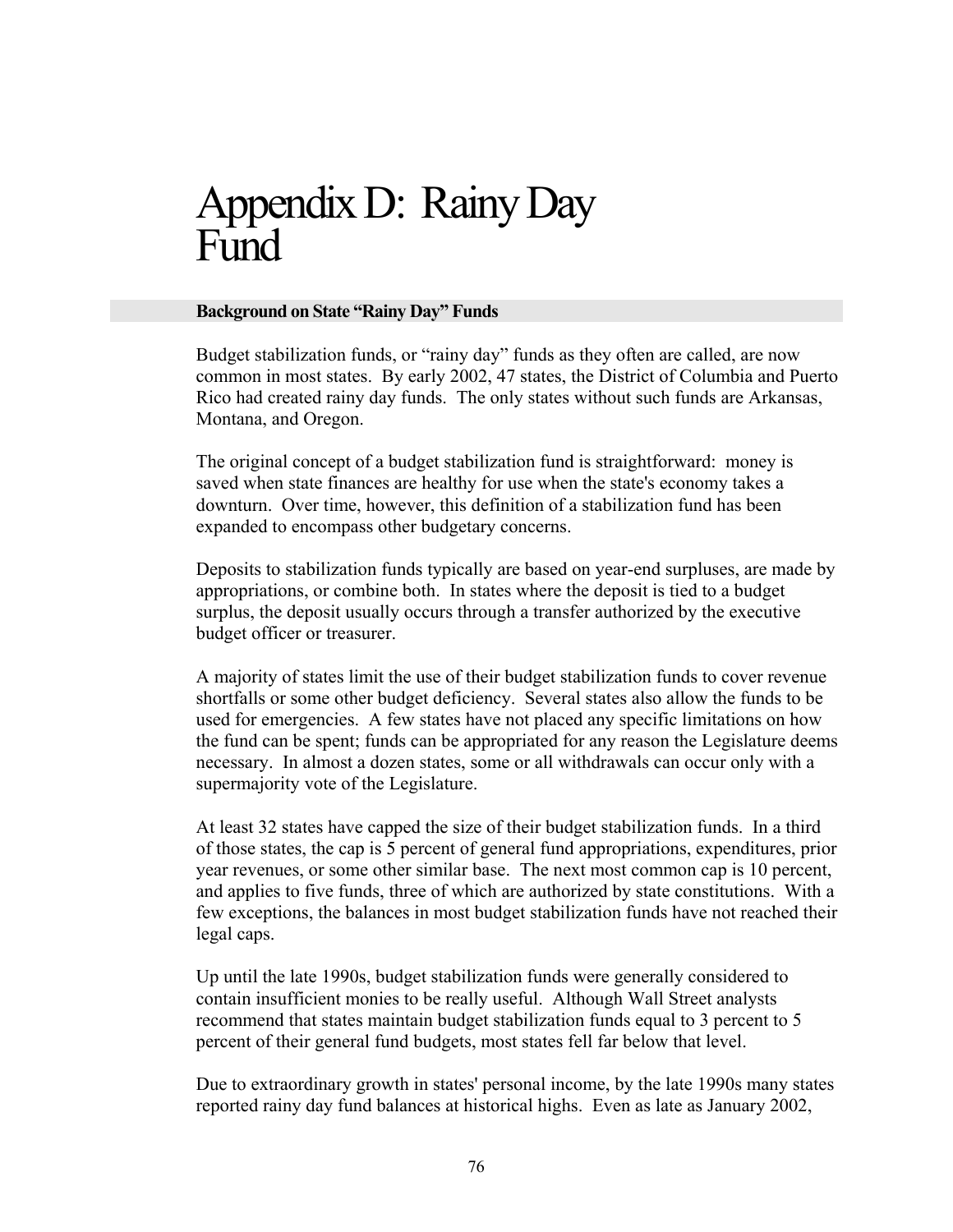# Appendix D: Rainy Day Fund

#### **Background on State "Rainy Day" Funds**

Budget stabilization funds, or "rainy day" funds as they often are called, are now common in most states. By early 2002, 47 states, the District of Columbia and Puerto Rico had created rainy day funds. The only states without such funds are Arkansas, Montana, and Oregon.

The original concept of a budget stabilization fund is straightforward: money is saved when state finances are healthy for use when the state's economy takes a downturn. Over time, however, this definition of a stabilization fund has been expanded to encompass other budgetary concerns.

Deposits to stabilization funds typically are based on year-end surpluses, are made by appropriations, or combine both. In states where the deposit is tied to a budget surplus, the deposit usually occurs through a transfer authorized by the executive budget officer or treasurer.

A majority of states limit the use of their budget stabilization funds to cover revenue shortfalls or some other budget deficiency. Several states also allow the funds to be used for emergencies. A few states have not placed any specific limitations on how the fund can be spent; funds can be appropriated for any reason the Legislature deems necessary. In almost a dozen states, some or all withdrawals can occur only with a supermajority vote of the Legislature.

At least 32 states have capped the size of their budget stabilization funds. In a third of those states, the cap is 5 percent of general fund appropriations, expenditures, prior year revenues, or some other similar base. The next most common cap is 10 percent, and applies to five funds, three of which are authorized by state constitutions. With a few exceptions, the balances in most budget stabilization funds have not reached their legal caps.

Up until the late 1990s, budget stabilization funds were generally considered to contain insufficient monies to be really useful. Although Wall Street analysts recommend that states maintain budget stabilization funds equal to 3 percent to 5 percent of their general fund budgets, most states fell far below that level.

Due to extraordinary growth in states' personal income, by the late 1990s many states reported rainy day fund balances at historical highs. Even as late as January 2002,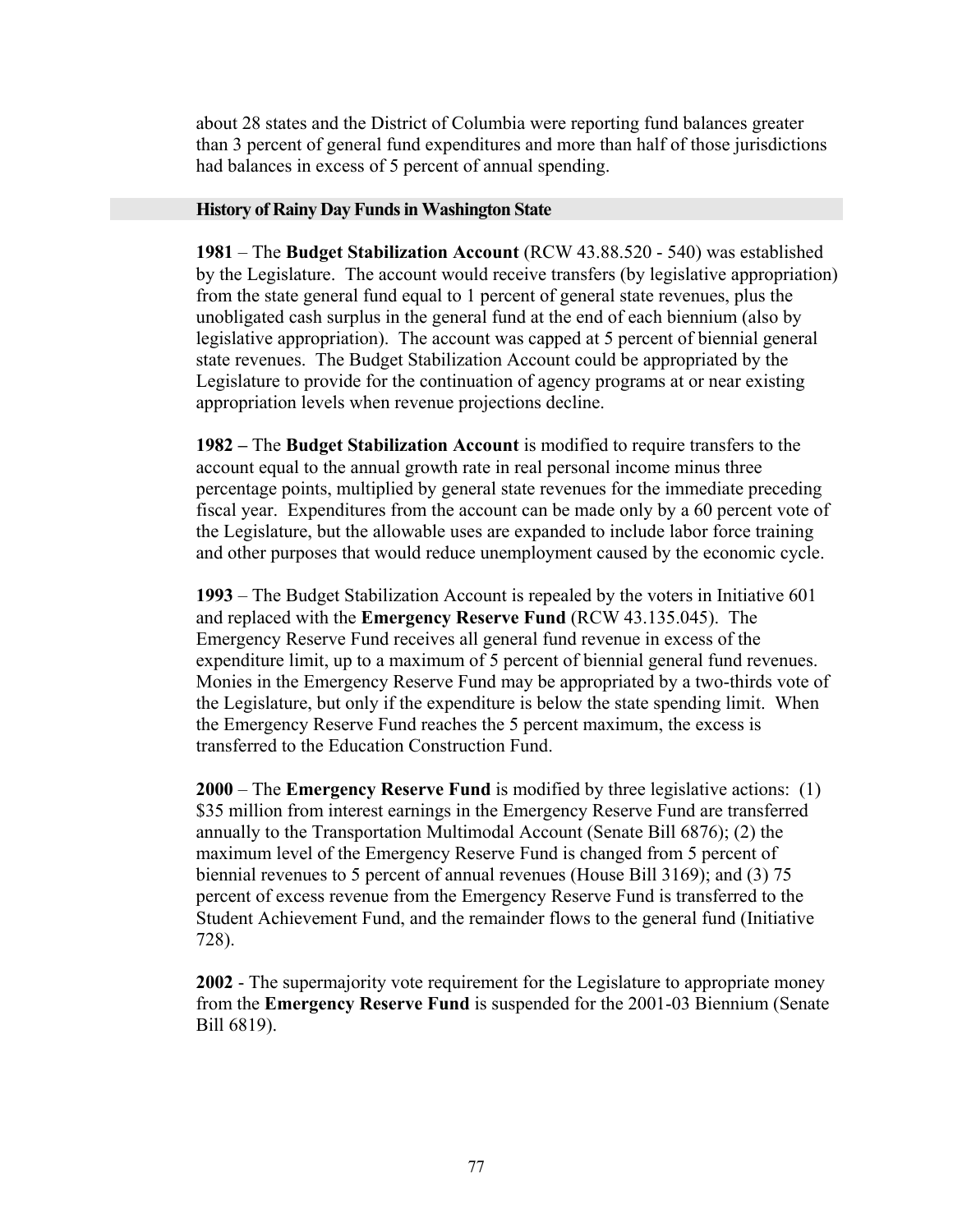about 28 states and the District of Columbia were reporting fund balances greater than 3 percent of general fund expenditures and more than half of those jurisdictions had balances in excess of 5 percent of annual spending.

#### **History of Rainy Day Funds in Washington State**

**1981** – The **Budget Stabilization Account** (RCW 43.88.520 - 540) was established by the Legislature. The account would receive transfers (by legislative appropriation) from the state general fund equal to 1 percent of general state revenues, plus the unobligated cash surplus in the general fund at the end of each biennium (also by legislative appropriation). The account was capped at 5 percent of biennial general state revenues. The Budget Stabilization Account could be appropriated by the Legislature to provide for the continuation of agency programs at or near existing appropriation levels when revenue projections decline.

**1982 –** The **Budget Stabilization Account** is modified to require transfers to the account equal to the annual growth rate in real personal income minus three percentage points, multiplied by general state revenues for the immediate preceding fiscal year. Expenditures from the account can be made only by a 60 percent vote of the Legislature, but the allowable uses are expanded to include labor force training and other purposes that would reduce unemployment caused by the economic cycle.

**1993** – The Budget Stabilization Account is repealed by the voters in Initiative 601 and replaced with the **Emergency Reserve Fund** (RCW 43.135.045). The Emergency Reserve Fund receives all general fund revenue in excess of the expenditure limit, up to a maximum of 5 percent of biennial general fund revenues. Monies in the Emergency Reserve Fund may be appropriated by a two-thirds vote of the Legislature, but only if the expenditure is below the state spending limit. When the Emergency Reserve Fund reaches the 5 percent maximum, the excess is transferred to the Education Construction Fund.

**2000** – The **Emergency Reserve Fund** is modified by three legislative actions: (1) \$35 million from interest earnings in the Emergency Reserve Fund are transferred annually to the Transportation Multimodal Account (Senate Bill 6876); (2) the maximum level of the Emergency Reserve Fund is changed from 5 percent of biennial revenues to 5 percent of annual revenues (House Bill 3169); and (3) 75 percent of excess revenue from the Emergency Reserve Fund is transferred to the Student Achievement Fund, and the remainder flows to the general fund (Initiative 728).

**2002** - The supermajority vote requirement for the Legislature to appropriate money from the **Emergency Reserve Fund** is suspended for the 2001-03 Biennium (Senate Bill 6819).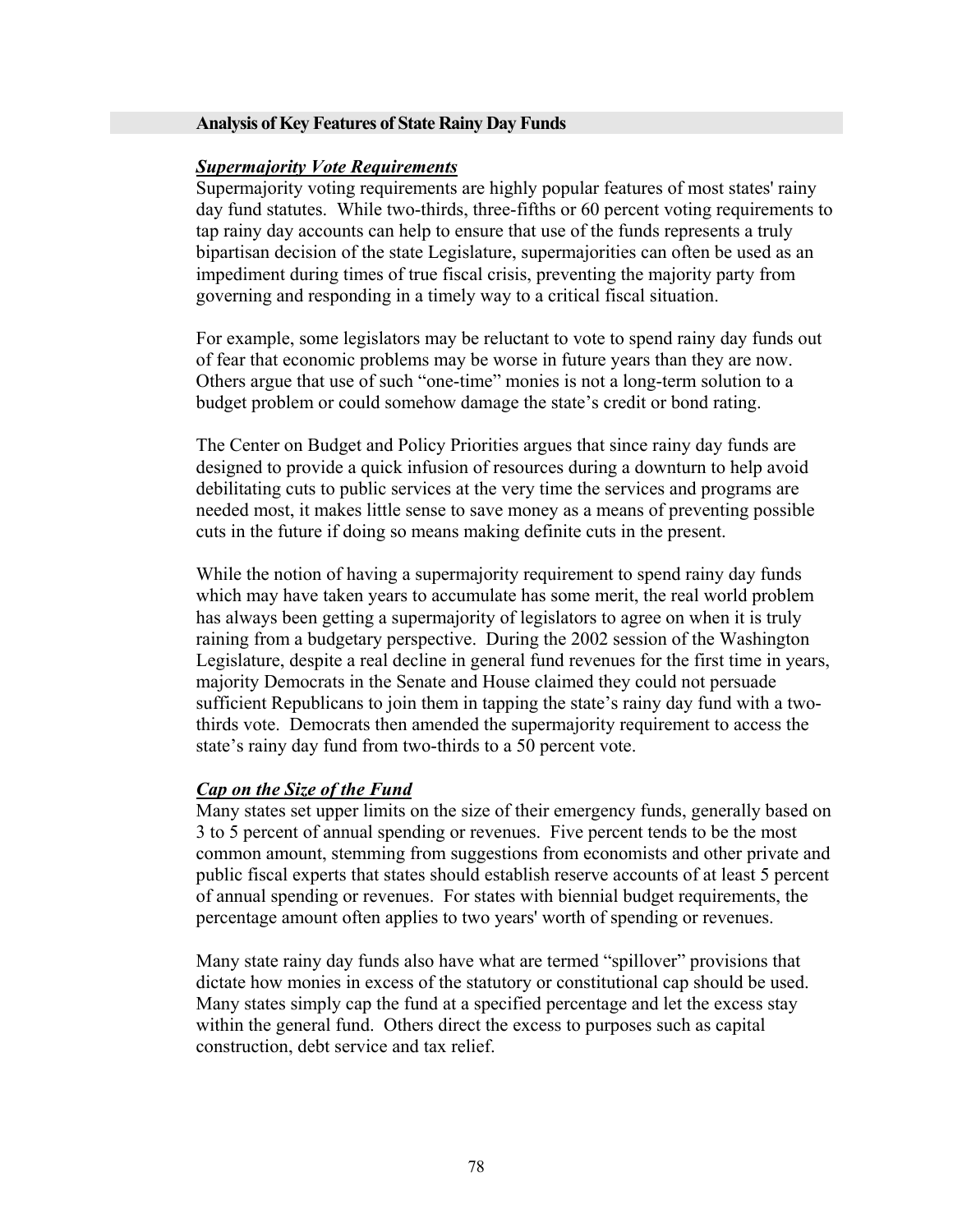#### **Analysis of Key Features of State Rainy Day Funds**

#### *Supermajority Vote Requirements*

Supermajority voting requirements are highly popular features of most states' rainy day fund statutes. While two-thirds, three-fifths or 60 percent voting requirements to tap rainy day accounts can help to ensure that use of the funds represents a truly bipartisan decision of the state Legislature, supermajorities can often be used as an impediment during times of true fiscal crisis, preventing the majority party from governing and responding in a timely way to a critical fiscal situation.

For example, some legislators may be reluctant to vote to spend rainy day funds out of fear that economic problems may be worse in future years than they are now. Others argue that use of such "one-time" monies is not a long-term solution to a budget problem or could somehow damage the state's credit or bond rating.

The Center on Budget and Policy Priorities argues that since rainy day funds are designed to provide a quick infusion of resources during a downturn to help avoid debilitating cuts to public services at the very time the services and programs are needed most, it makes little sense to save money as a means of preventing possible cuts in the future if doing so means making definite cuts in the present.

While the notion of having a supermajority requirement to spend rainy day funds which may have taken years to accumulate has some merit, the real world problem has always been getting a supermajority of legislators to agree on when it is truly raining from a budgetary perspective. During the 2002 session of the Washington Legislature, despite a real decline in general fund revenues for the first time in years, majority Democrats in the Senate and House claimed they could not persuade sufficient Republicans to join them in tapping the state's rainy day fund with a twothirds vote. Democrats then amended the supermajority requirement to access the state's rainy day fund from two-thirds to a 50 percent vote.

#### *Cap on the Size of the Fund*

Many states set upper limits on the size of their emergency funds, generally based on 3 to 5 percent of annual spending or revenues. Five percent tends to be the most common amount, stemming from suggestions from economists and other private and public fiscal experts that states should establish reserve accounts of at least 5 percent of annual spending or revenues. For states with biennial budget requirements, the percentage amount often applies to two years' worth of spending or revenues.

Many state rainy day funds also have what are termed "spillover" provisions that dictate how monies in excess of the statutory or constitutional cap should be used. Many states simply cap the fund at a specified percentage and let the excess stay within the general fund. Others direct the excess to purposes such as capital construction, debt service and tax relief.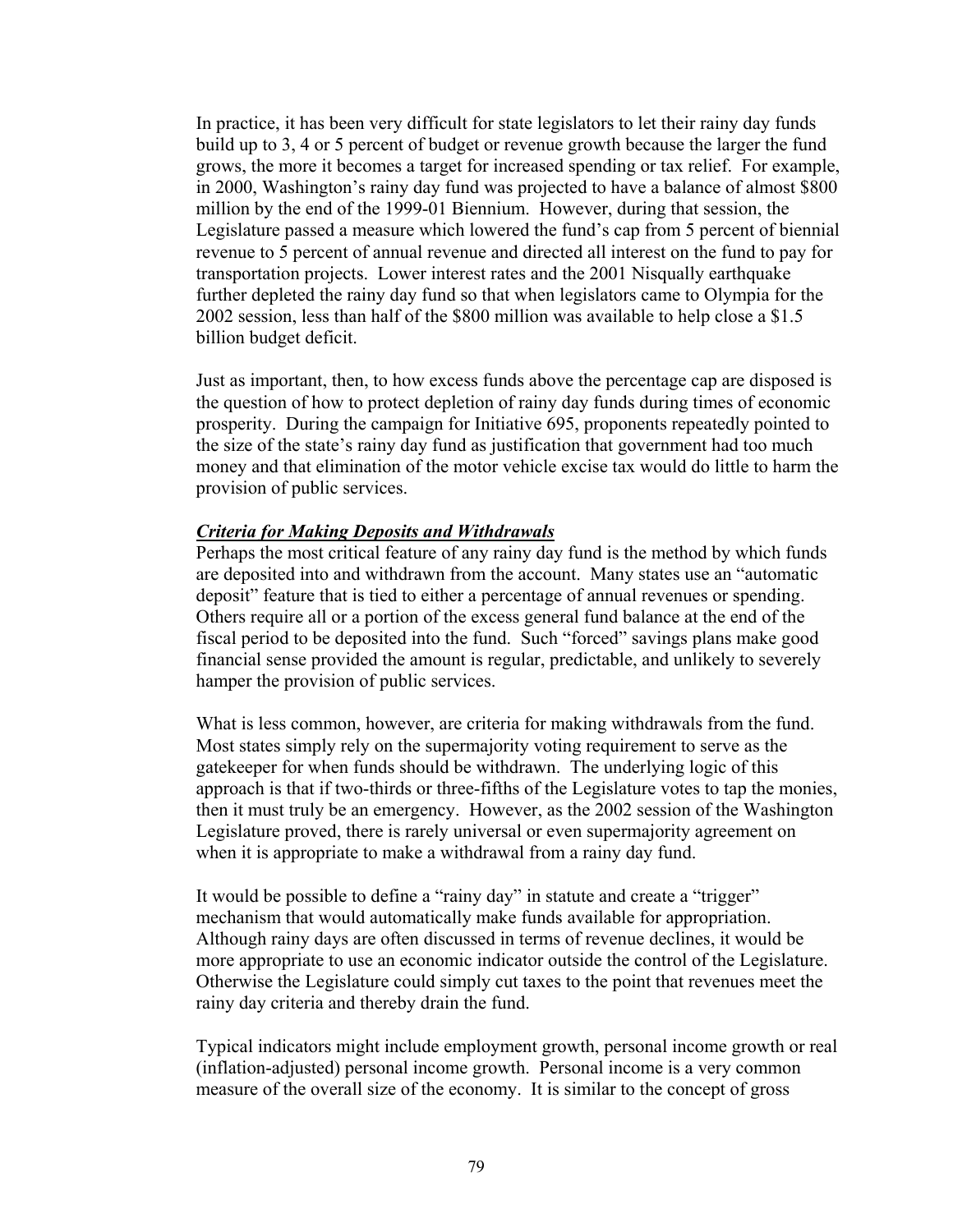In practice, it has been very difficult for state legislators to let their rainy day funds build up to 3, 4 or 5 percent of budget or revenue growth because the larger the fund grows, the more it becomes a target for increased spending or tax relief. For example, in 2000, Washington's rainy day fund was projected to have a balance of almost \$800 million by the end of the 1999-01 Biennium. However, during that session, the Legislature passed a measure which lowered the fund's cap from 5 percent of biennial revenue to 5 percent of annual revenue and directed all interest on the fund to pay for transportation projects. Lower interest rates and the 2001 Nisqually earthquake further depleted the rainy day fund so that when legislators came to Olympia for the 2002 session, less than half of the \$800 million was available to help close a \$1.5 billion budget deficit.

Just as important, then, to how excess funds above the percentage cap are disposed is the question of how to protect depletion of rainy day funds during times of economic prosperity. During the campaign for Initiative 695, proponents repeatedly pointed to the size of the state's rainy day fund as justification that government had too much money and that elimination of the motor vehicle excise tax would do little to harm the provision of public services.

#### *Criteria for Making Deposits and Withdrawals*

Perhaps the most critical feature of any rainy day fund is the method by which funds are deposited into and withdrawn from the account. Many states use an "automatic deposit" feature that is tied to either a percentage of annual revenues or spending. Others require all or a portion of the excess general fund balance at the end of the fiscal period to be deposited into the fund. Such "forced" savings plans make good financial sense provided the amount is regular, predictable, and unlikely to severely hamper the provision of public services.

What is less common, however, are criteria for making withdrawals from the fund. Most states simply rely on the supermajority voting requirement to serve as the gatekeeper for when funds should be withdrawn. The underlying logic of this approach is that if two-thirds or three-fifths of the Legislature votes to tap the monies, then it must truly be an emergency. However, as the 2002 session of the Washington Legislature proved, there is rarely universal or even supermajority agreement on when it is appropriate to make a withdrawal from a rainy day fund.

It would be possible to define a "rainy day" in statute and create a "trigger" mechanism that would automatically make funds available for appropriation. Although rainy days are often discussed in terms of revenue declines, it would be more appropriate to use an economic indicator outside the control of the Legislature. Otherwise the Legislature could simply cut taxes to the point that revenues meet the rainy day criteria and thereby drain the fund.

Typical indicators might include employment growth, personal income growth or real (inflation-adjusted) personal income growth. Personal income is a very common measure of the overall size of the economy. It is similar to the concept of gross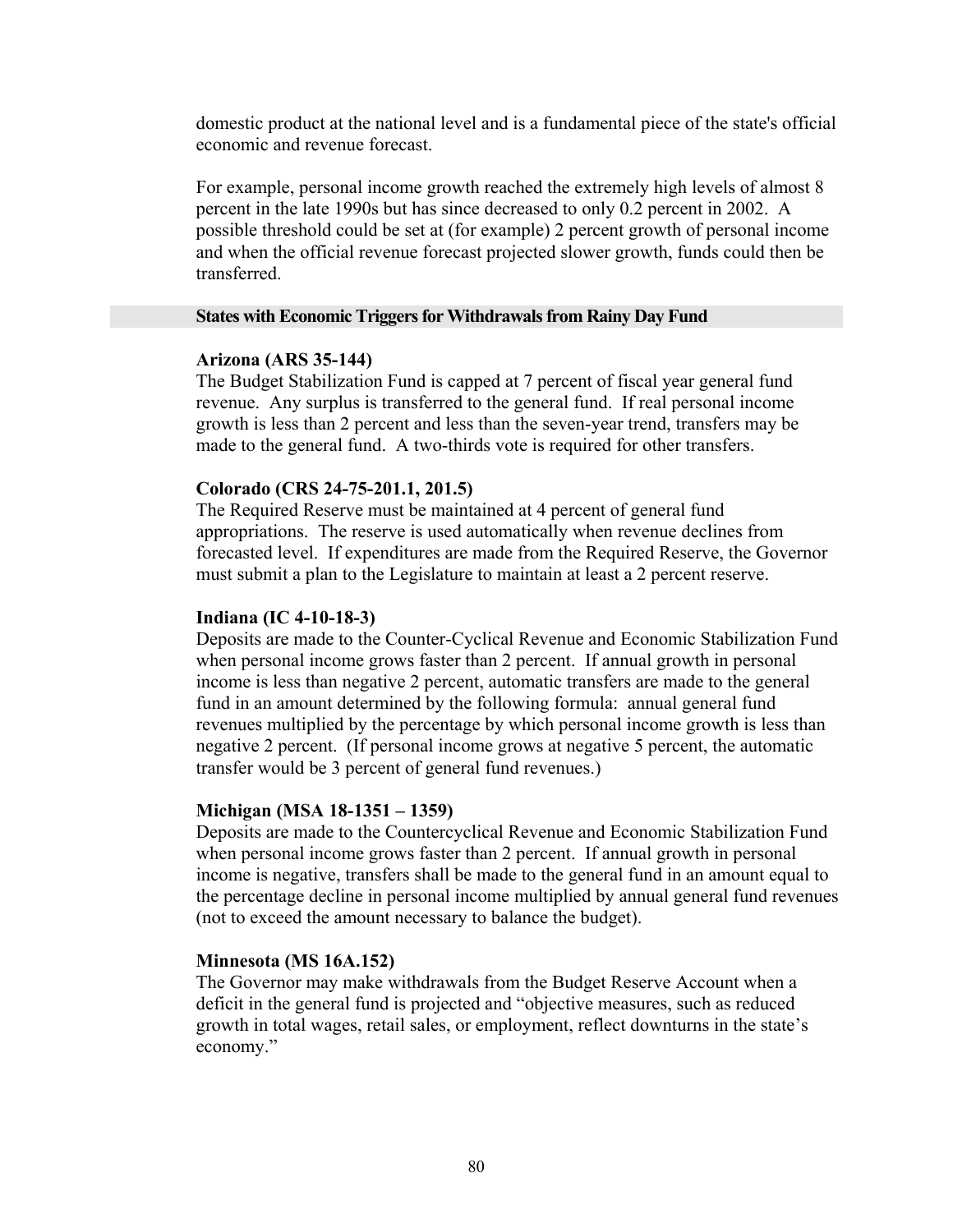domestic product at the national level and is a fundamental piece of the state's official economic and revenue forecast.

For example, personal income growth reached the extremely high levels of almost 8 percent in the late 1990s but has since decreased to only 0.2 percent in 2002. A possible threshold could be set at (for example) 2 percent growth of personal income and when the official revenue forecast projected slower growth, funds could then be transferred.

#### **States with Economic Triggers for Withdrawals from Rainy Day Fund**

#### **Arizona (ARS 35-144)**

The Budget Stabilization Fund is capped at 7 percent of fiscal year general fund revenue. Any surplus is transferred to the general fund. If real personal income growth is less than 2 percent and less than the seven-year trend, transfers may be made to the general fund. A two-thirds vote is required for other transfers.

#### **Colorado (CRS 24-75-201.1, 201.5)**

The Required Reserve must be maintained at 4 percent of general fund appropriations. The reserve is used automatically when revenue declines from forecasted level. If expenditures are made from the Required Reserve, the Governor must submit a plan to the Legislature to maintain at least a 2 percent reserve.

#### **Indiana (IC 4-10-18-3)**

Deposits are made to the Counter-Cyclical Revenue and Economic Stabilization Fund when personal income grows faster than 2 percent. If annual growth in personal income is less than negative 2 percent, automatic transfers are made to the general fund in an amount determined by the following formula: annual general fund revenues multiplied by the percentage by which personal income growth is less than negative 2 percent. (If personal income grows at negative 5 percent, the automatic transfer would be 3 percent of general fund revenues.)

#### **Michigan (MSA 18-1351 – 1359)**

Deposits are made to the Countercyclical Revenue and Economic Stabilization Fund when personal income grows faster than 2 percent. If annual growth in personal income is negative, transfers shall be made to the general fund in an amount equal to the percentage decline in personal income multiplied by annual general fund revenues (not to exceed the amount necessary to balance the budget).

#### **Minnesota (MS 16A.152)**

The Governor may make withdrawals from the Budget Reserve Account when a deficit in the general fund is projected and "objective measures, such as reduced growth in total wages, retail sales, or employment, reflect downturns in the state's economy."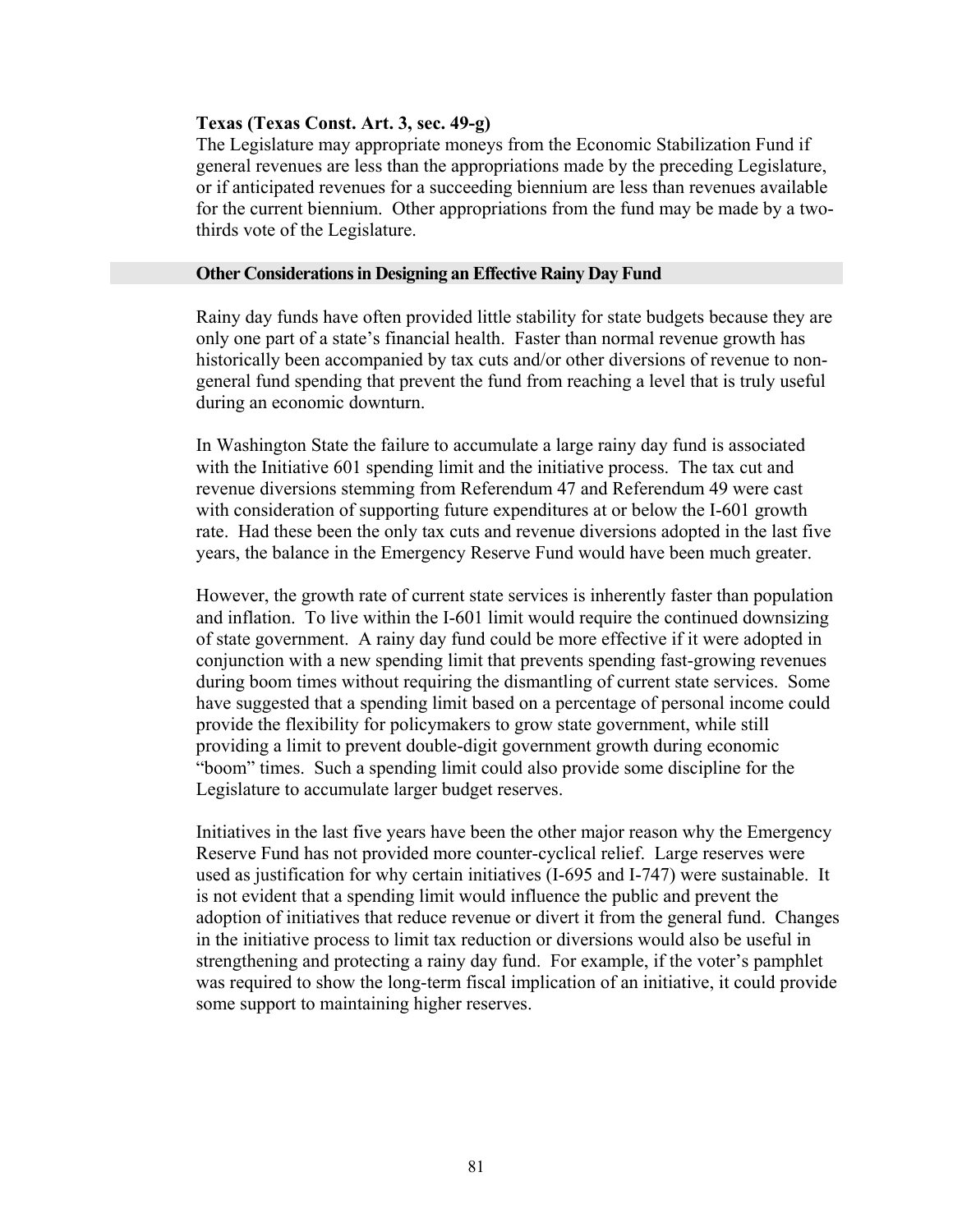#### **Texas (Texas Const. Art. 3, sec. 49-g)**

The Legislature may appropriate moneys from the Economic Stabilization Fund if general revenues are less than the appropriations made by the preceding Legislature, or if anticipated revenues for a succeeding biennium are less than revenues available for the current biennium. Other appropriations from the fund may be made by a twothirds vote of the Legislature.

#### **Other Considerations in Designing an Effective Rainy Day Fund**

Rainy day funds have often provided little stability for state budgets because they are only one part of a state's financial health. Faster than normal revenue growth has historically been accompanied by tax cuts and/or other diversions of revenue to nongeneral fund spending that prevent the fund from reaching a level that is truly useful during an economic downturn.

In Washington State the failure to accumulate a large rainy day fund is associated with the Initiative 601 spending limit and the initiative process. The tax cut and revenue diversions stemming from Referendum 47 and Referendum 49 were cast with consideration of supporting future expenditures at or below the I-601 growth rate. Had these been the only tax cuts and revenue diversions adopted in the last five years, the balance in the Emergency Reserve Fund would have been much greater.

However, the growth rate of current state services is inherently faster than population and inflation. To live within the I-601 limit would require the continued downsizing of state government. A rainy day fund could be more effective if it were adopted in conjunction with a new spending limit that prevents spending fast-growing revenues during boom times without requiring the dismantling of current state services. Some have suggested that a spending limit based on a percentage of personal income could provide the flexibility for policymakers to grow state government, while still providing a limit to prevent double-digit government growth during economic "boom" times. Such a spending limit could also provide some discipline for the Legislature to accumulate larger budget reserves.

Initiatives in the last five years have been the other major reason why the Emergency Reserve Fund has not provided more counter-cyclical relief. Large reserves were used as justification for why certain initiatives (I-695 and I-747) were sustainable. It is not evident that a spending limit would influence the public and prevent the adoption of initiatives that reduce revenue or divert it from the general fund. Changes in the initiative process to limit tax reduction or diversions would also be useful in strengthening and protecting a rainy day fund. For example, if the voter's pamphlet was required to show the long-term fiscal implication of an initiative, it could provide some support to maintaining higher reserves.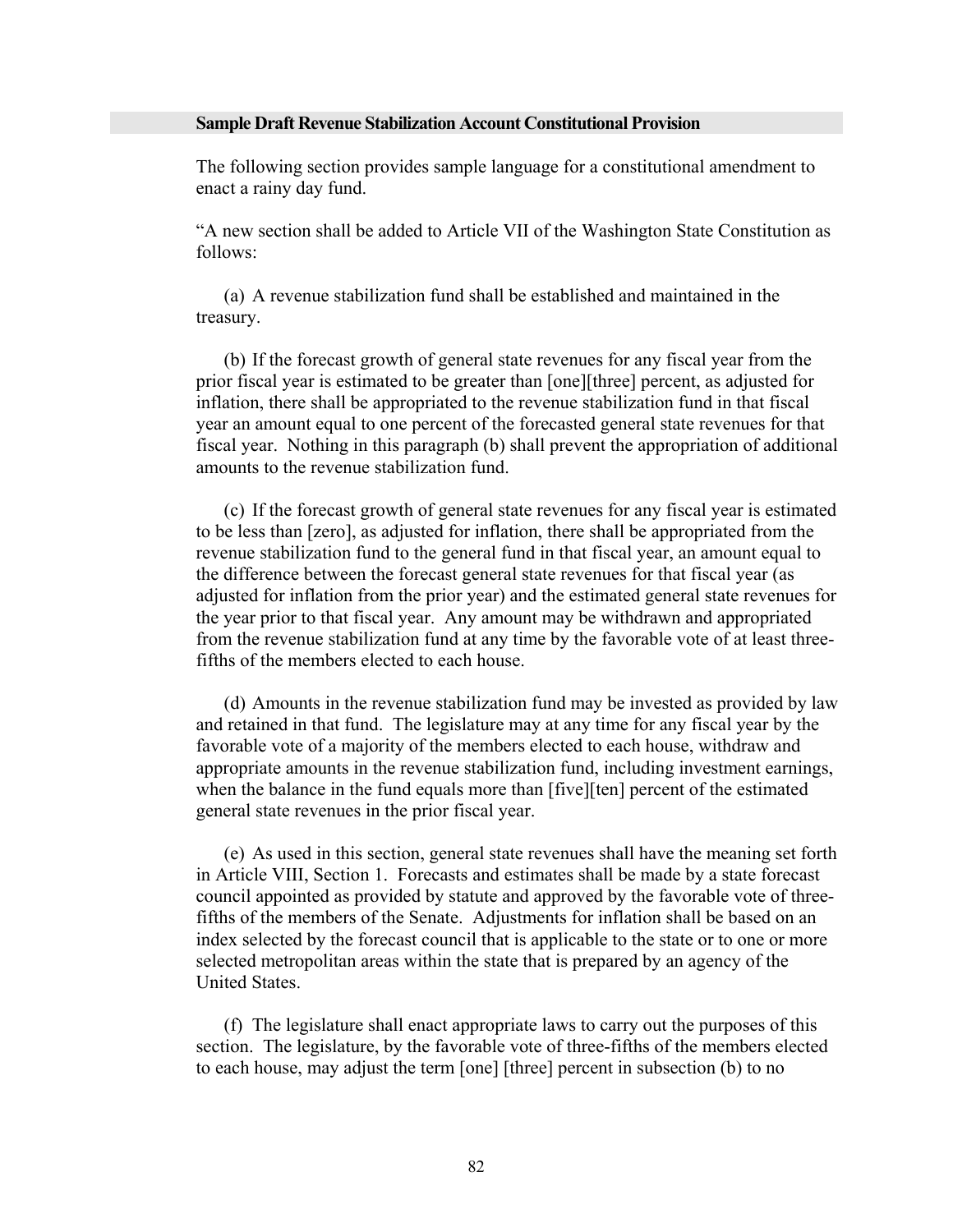#### **Sample Draft Revenue Stabilization Account Constitutional Provision**

The following section provides sample language for a constitutional amendment to enact a rainy day fund.

"A new section shall be added to Article VII of the Washington State Constitution as follows:

(a) A revenue stabilization fund shall be established and maintained in the treasury.

(b) If the forecast growth of general state revenues for any fiscal year from the prior fiscal year is estimated to be greater than [one][three] percent, as adjusted for inflation, there shall be appropriated to the revenue stabilization fund in that fiscal year an amount equal to one percent of the forecasted general state revenues for that fiscal year. Nothing in this paragraph (b) shall prevent the appropriation of additional amounts to the revenue stabilization fund.

(c) If the forecast growth of general state revenues for any fiscal year is estimated to be less than [zero], as adjusted for inflation, there shall be appropriated from the revenue stabilization fund to the general fund in that fiscal year, an amount equal to the difference between the forecast general state revenues for that fiscal year (as adjusted for inflation from the prior year) and the estimated general state revenues for the year prior to that fiscal year. Any amount may be withdrawn and appropriated from the revenue stabilization fund at any time by the favorable vote of at least threefifths of the members elected to each house.

(d) Amounts in the revenue stabilization fund may be invested as provided by law and retained in that fund. The legislature may at any time for any fiscal year by the favorable vote of a majority of the members elected to each house, withdraw and appropriate amounts in the revenue stabilization fund, including investment earnings, when the balance in the fund equals more than [five][ten] percent of the estimated general state revenues in the prior fiscal year.

(e) As used in this section, general state revenues shall have the meaning set forth in Article VIII, Section 1. Forecasts and estimates shall be made by a state forecast council appointed as provided by statute and approved by the favorable vote of threefifths of the members of the Senate. Adjustments for inflation shall be based on an index selected by the forecast council that is applicable to the state or to one or more selected metropolitan areas within the state that is prepared by an agency of the United States.

(f) The legislature shall enact appropriate laws to carry out the purposes of this section. The legislature, by the favorable vote of three-fifths of the members elected to each house, may adjust the term [one] [three] percent in subsection (b) to no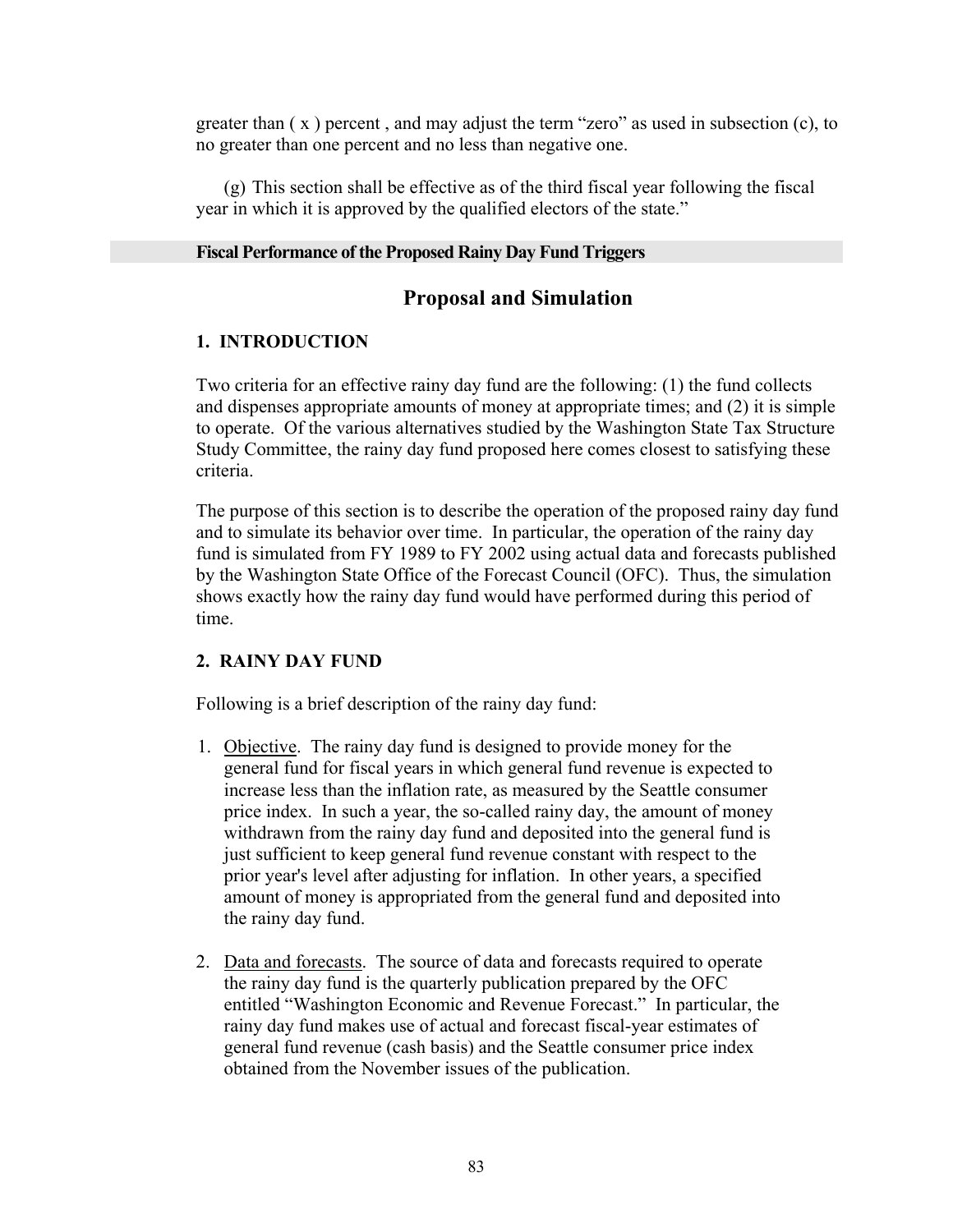greater than  $(x)$  percent, and may adjust the term "zero" as used in subsection (c), to no greater than one percent and no less than negative one.

(g) This section shall be effective as of the third fiscal year following the fiscal year in which it is approved by the qualified electors of the state."

#### **Fiscal Performance of the Proposed Rainy Day Fund Triggers**

# **Proposal and Simulation**

### **1. INTRODUCTION**

Two criteria for an effective rainy day fund are the following: (1) the fund collects and dispenses appropriate amounts of money at appropriate times; and (2) it is simple to operate. Of the various alternatives studied by the Washington State Tax Structure Study Committee, the rainy day fund proposed here comes closest to satisfying these criteria.

The purpose of this section is to describe the operation of the proposed rainy day fund and to simulate its behavior over time. In particular, the operation of the rainy day fund is simulated from FY 1989 to FY 2002 using actual data and forecasts published by the Washington State Office of the Forecast Council (OFC). Thus, the simulation shows exactly how the rainy day fund would have performed during this period of time.

# **2. RAINY DAY FUND**

Following is a brief description of the rainy day fund:

- 1. Objective. The rainy day fund is designed to provide money for the general fund for fiscal years in which general fund revenue is expected to increase less than the inflation rate, as measured by the Seattle consumer price index. In such a year, the so-called rainy day, the amount of money withdrawn from the rainy day fund and deposited into the general fund is just sufficient to keep general fund revenue constant with respect to the prior year's level after adjusting for inflation. In other years, a specified amount of money is appropriated from the general fund and deposited into the rainy day fund.
- 2. Data and forecasts. The source of data and forecasts required to operate the rainy day fund is the quarterly publication prepared by the OFC entitled "Washington Economic and Revenue Forecast." In particular, the rainy day fund makes use of actual and forecast fiscal-year estimates of general fund revenue (cash basis) and the Seattle consumer price index obtained from the November issues of the publication.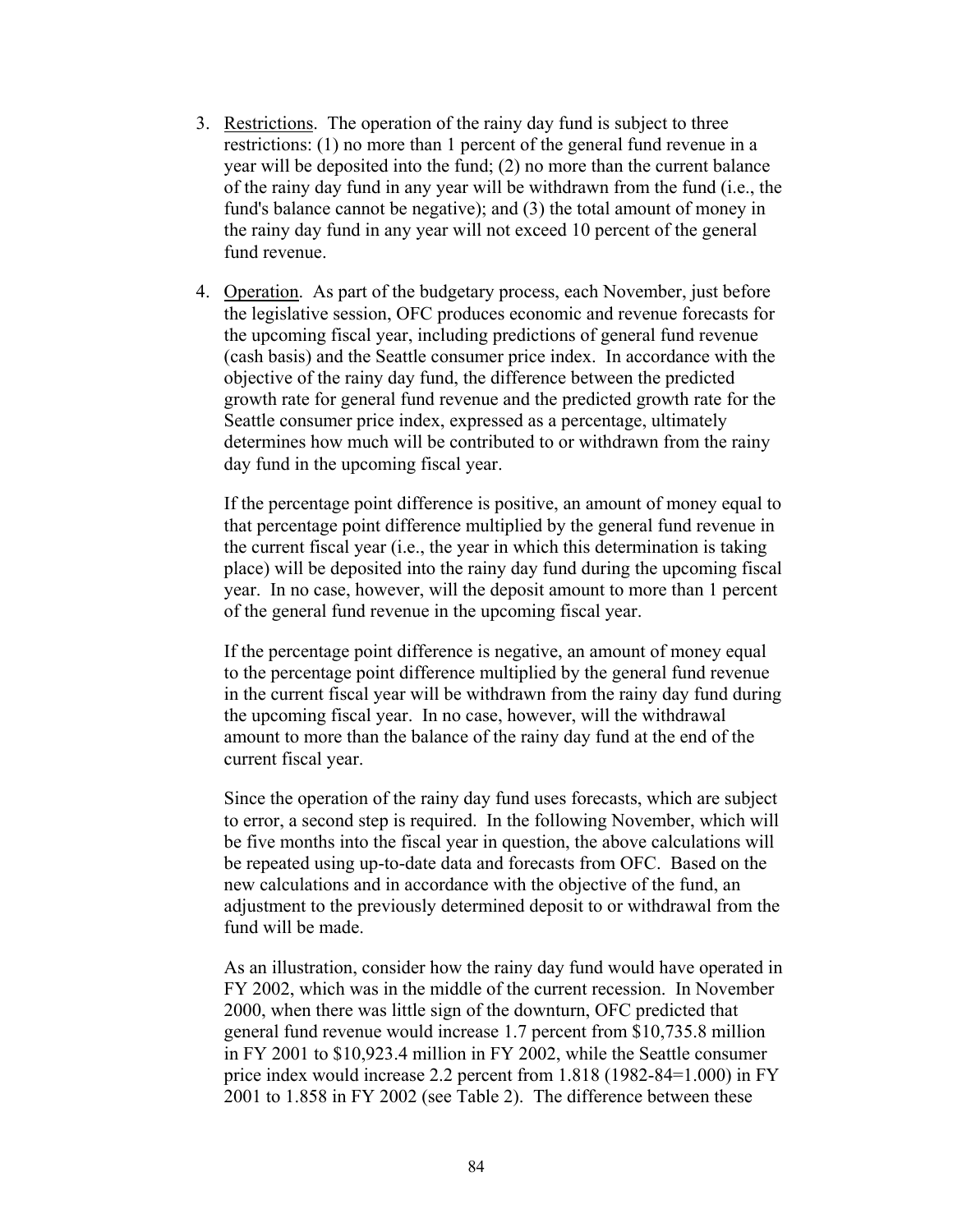- 3. Restrictions. The operation of the rainy day fund is subject to three restrictions: (1) no more than 1 percent of the general fund revenue in a year will be deposited into the fund; (2) no more than the current balance of the rainy day fund in any year will be withdrawn from the fund (i.e., the fund's balance cannot be negative); and (3) the total amount of money in the rainy day fund in any year will not exceed 10 percent of the general fund revenue.
- 4. Operation. As part of the budgetary process, each November, just before the legislative session, OFC produces economic and revenue forecasts for the upcoming fiscal year, including predictions of general fund revenue (cash basis) and the Seattle consumer price index. In accordance with the objective of the rainy day fund, the difference between the predicted growth rate for general fund revenue and the predicted growth rate for the Seattle consumer price index, expressed as a percentage, ultimately determines how much will be contributed to or withdrawn from the rainy day fund in the upcoming fiscal year.

If the percentage point difference is positive, an amount of money equal to that percentage point difference multiplied by the general fund revenue in the current fiscal year (i.e., the year in which this determination is taking place) will be deposited into the rainy day fund during the upcoming fiscal year. In no case, however, will the deposit amount to more than 1 percent of the general fund revenue in the upcoming fiscal year.

If the percentage point difference is negative, an amount of money equal to the percentage point difference multiplied by the general fund revenue in the current fiscal year will be withdrawn from the rainy day fund during the upcoming fiscal year. In no case, however, will the withdrawal amount to more than the balance of the rainy day fund at the end of the current fiscal year.

Since the operation of the rainy day fund uses forecasts, which are subject to error, a second step is required. In the following November, which will be five months into the fiscal year in question, the above calculations will be repeated using up-to-date data and forecasts from OFC. Based on the new calculations and in accordance with the objective of the fund, an adjustment to the previously determined deposit to or withdrawal from the fund will be made.

As an illustration, consider how the rainy day fund would have operated in FY 2002, which was in the middle of the current recession. In November 2000, when there was little sign of the downturn, OFC predicted that general fund revenue would increase 1.7 percent from \$10,735.8 million in FY 2001 to \$10,923.4 million in FY 2002, while the Seattle consumer price index would increase 2.2 percent from 1.818 (1982-84=1.000) in FY 2001 to 1.858 in FY 2002 (see Table 2). The difference between these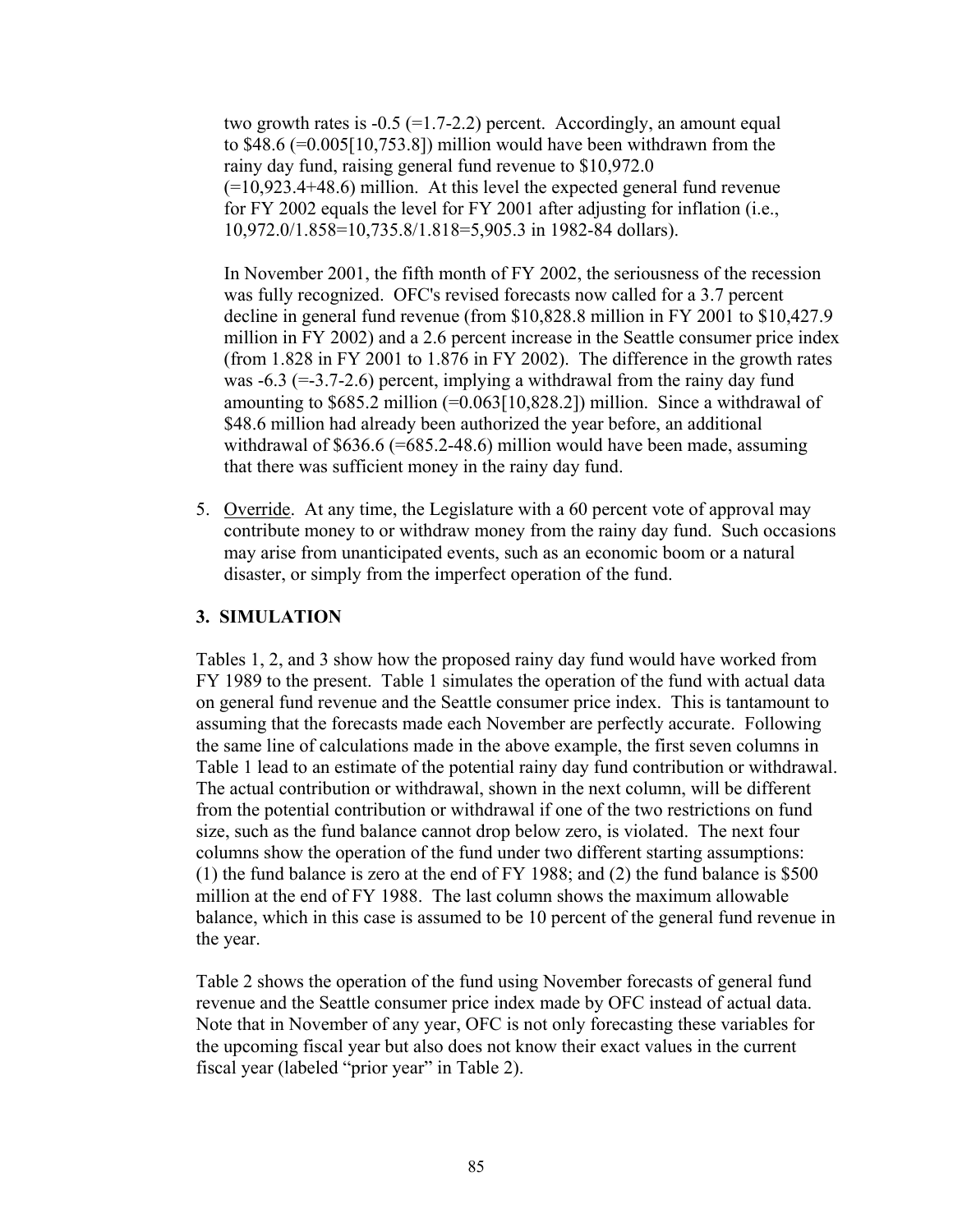two growth rates is  $-0.5$  (=1.7-2.2) percent. Accordingly, an amount equal to \$48.6 (=0.005[10,753.8]) million would have been withdrawn from the rainy day fund, raising general fund revenue to \$10,972.0  $(=10,923.4+48.6)$  million. At this level the expected general fund revenue for FY 2002 equals the level for FY 2001 after adjusting for inflation (i.e., 10,972.0/1.858=10,735.8/1.818=5,905.3 in 1982-84 dollars).

In November 2001, the fifth month of FY 2002, the seriousness of the recession was fully recognized. OFC's revised forecasts now called for a 3.7 percent decline in general fund revenue (from \$10,828.8 million in FY 2001 to \$10,427.9 million in FY 2002) and a 2.6 percent increase in the Seattle consumer price index (from 1.828 in FY 2001 to 1.876 in FY 2002). The difference in the growth rates was  $-6.3$  ( $=-3.7-2.6$ ) percent, implying a withdrawal from the rainy day fund amounting to \$685.2 million (=0.063[10,828.2]) million. Since a withdrawal of \$48.6 million had already been authorized the year before, an additional withdrawal of \$636.6 (=685.2-48.6) million would have been made, assuming that there was sufficient money in the rainy day fund.

5. Override. At any time, the Legislature with a 60 percent vote of approval may contribute money to or withdraw money from the rainy day fund. Such occasions may arise from unanticipated events, such as an economic boom or a natural disaster, or simply from the imperfect operation of the fund.

## **3. SIMULATION**

Tables 1, 2, and 3 show how the proposed rainy day fund would have worked from FY 1989 to the present. Table 1 simulates the operation of the fund with actual data on general fund revenue and the Seattle consumer price index. This is tantamount to assuming that the forecasts made each November are perfectly accurate. Following the same line of calculations made in the above example, the first seven columns in Table 1 lead to an estimate of the potential rainy day fund contribution or withdrawal. The actual contribution or withdrawal, shown in the next column, will be different from the potential contribution or withdrawal if one of the two restrictions on fund size, such as the fund balance cannot drop below zero, is violated. The next four columns show the operation of the fund under two different starting assumptions: (1) the fund balance is zero at the end of FY 1988; and (2) the fund balance is \$500 million at the end of FY 1988. The last column shows the maximum allowable balance, which in this case is assumed to be 10 percent of the general fund revenue in the year.

Table 2 shows the operation of the fund using November forecasts of general fund revenue and the Seattle consumer price index made by OFC instead of actual data. Note that in November of any year, OFC is not only forecasting these variables for the upcoming fiscal year but also does not know their exact values in the current fiscal year (labeled "prior year" in Table 2).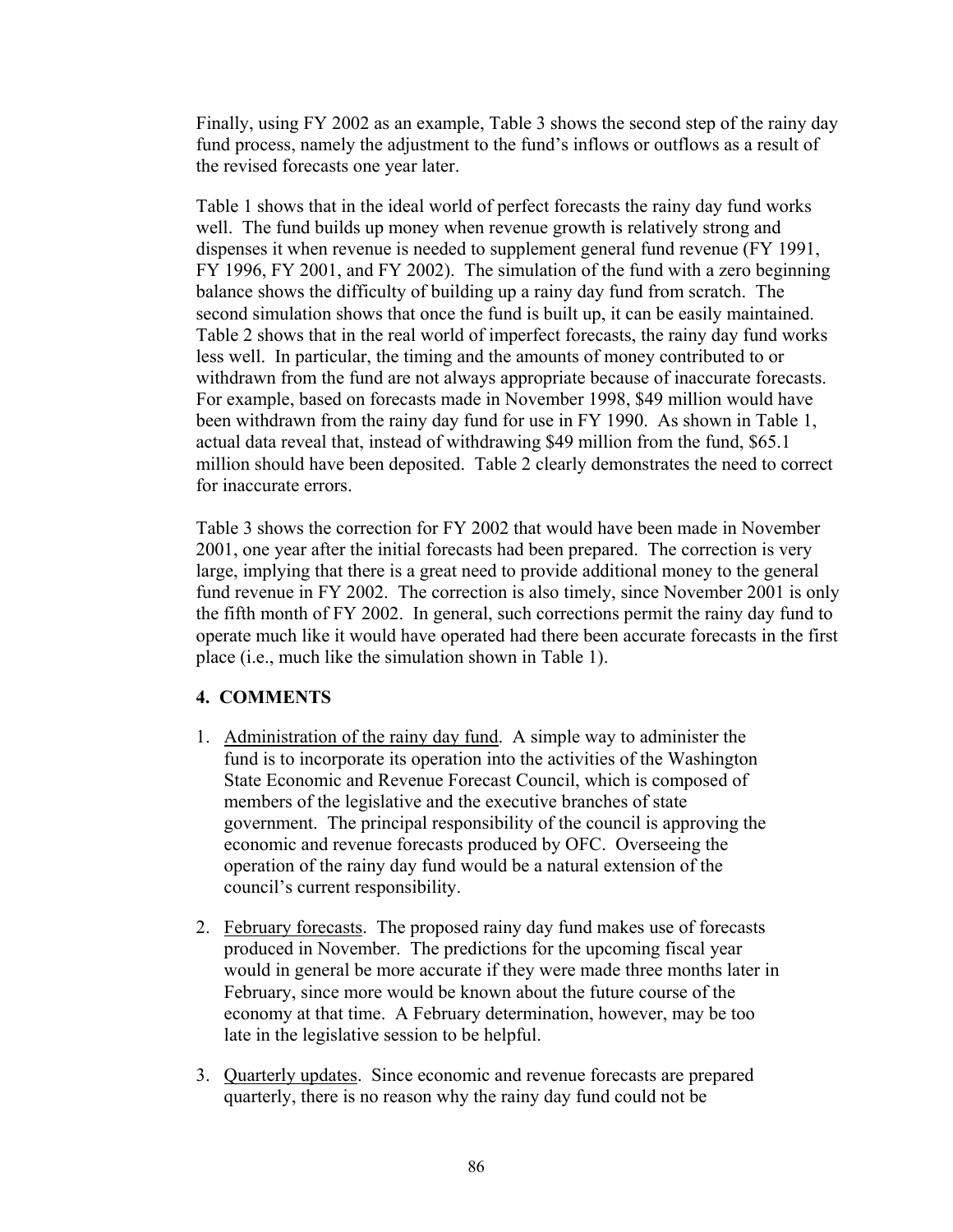Finally, using FY 2002 as an example, Table 3 shows the second step of the rainy day fund process, namely the adjustment to the fund's inflows or outflows as a result of the revised forecasts one year later.

Table 1 shows that in the ideal world of perfect forecasts the rainy day fund works well. The fund builds up money when revenue growth is relatively strong and dispenses it when revenue is needed to supplement general fund revenue (FY 1991, FY 1996, FY 2001, and FY 2002). The simulation of the fund with a zero beginning balance shows the difficulty of building up a rainy day fund from scratch. The second simulation shows that once the fund is built up, it can be easily maintained. Table 2 shows that in the real world of imperfect forecasts, the rainy day fund works less well. In particular, the timing and the amounts of money contributed to or withdrawn from the fund are not always appropriate because of inaccurate forecasts. For example, based on forecasts made in November 1998, \$49 million would have been withdrawn from the rainy day fund for use in FY 1990. As shown in Table 1, actual data reveal that, instead of withdrawing \$49 million from the fund, \$65.1 million should have been deposited. Table 2 clearly demonstrates the need to correct for inaccurate errors.

Table 3 shows the correction for FY 2002 that would have been made in November 2001, one year after the initial forecasts had been prepared. The correction is very large, implying that there is a great need to provide additional money to the general fund revenue in FY 2002. The correction is also timely, since November 2001 is only the fifth month of FY 2002. In general, such corrections permit the rainy day fund to operate much like it would have operated had there been accurate forecasts in the first place (i.e., much like the simulation shown in Table 1).

# **4. COMMENTS**

- 1. Administration of the rainy day fund. A simple way to administer the fund is to incorporate its operation into the activities of the Washington State Economic and Revenue Forecast Council, which is composed of members of the legislative and the executive branches of state government. The principal responsibility of the council is approving the economic and revenue forecasts produced by OFC. Overseeing the operation of the rainy day fund would be a natural extension of the council's current responsibility.
- 2. February forecasts. The proposed rainy day fund makes use of forecasts produced in November. The predictions for the upcoming fiscal year would in general be more accurate if they were made three months later in February, since more would be known about the future course of the economy at that time. A February determination, however, may be too late in the legislative session to be helpful.
- 3. Quarterly updates. Since economic and revenue forecasts are prepared quarterly, there is no reason why the rainy day fund could not be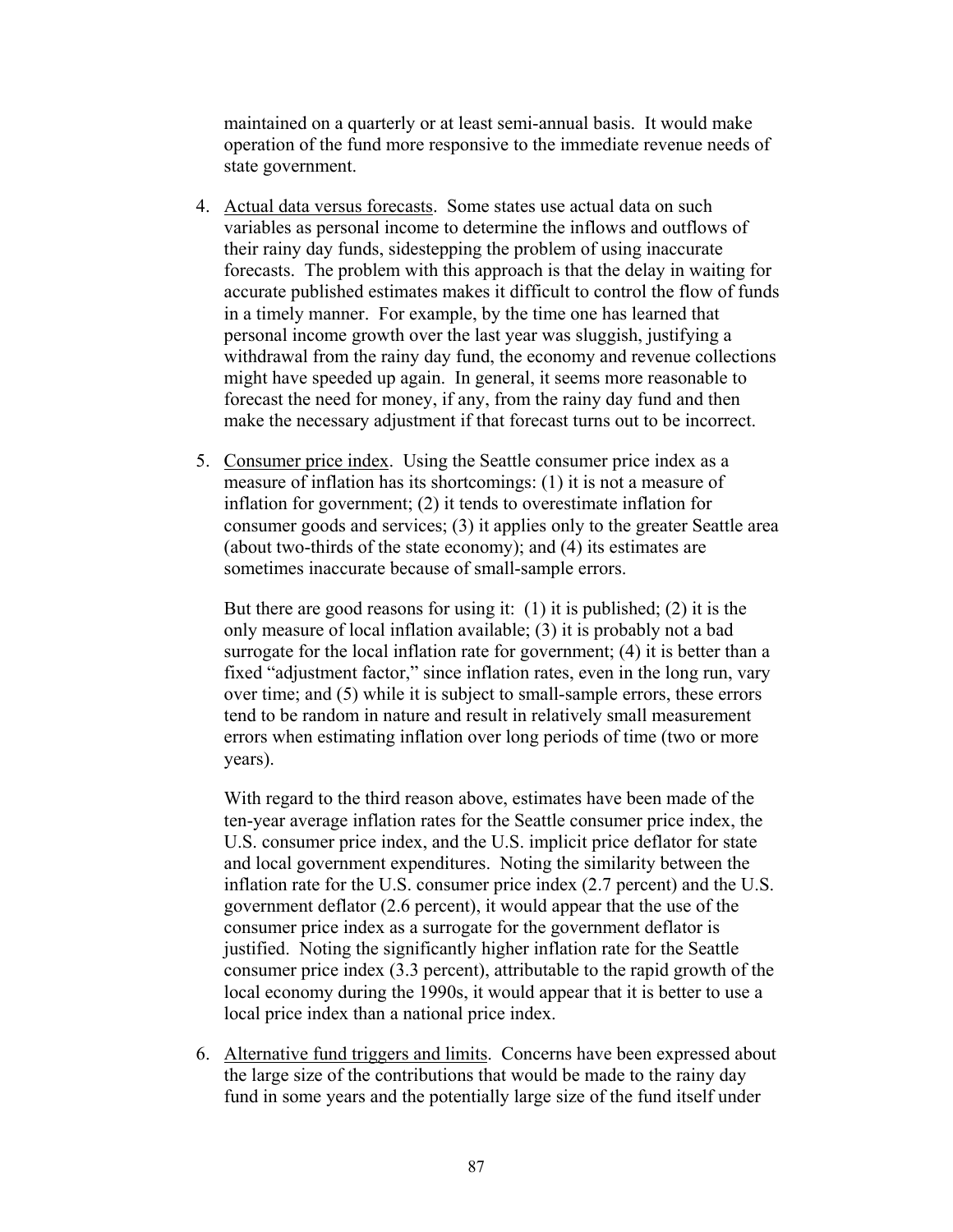maintained on a quarterly or at least semi-annual basis. It would make operation of the fund more responsive to the immediate revenue needs of state government.

- 4. Actual data versus forecasts. Some states use actual data on such variables as personal income to determine the inflows and outflows of their rainy day funds, sidestepping the problem of using inaccurate forecasts. The problem with this approach is that the delay in waiting for accurate published estimates makes it difficult to control the flow of funds in a timely manner. For example, by the time one has learned that personal income growth over the last year was sluggish, justifying a withdrawal from the rainy day fund, the economy and revenue collections might have speeded up again. In general, it seems more reasonable to forecast the need for money, if any, from the rainy day fund and then make the necessary adjustment if that forecast turns out to be incorrect.
- 5. Consumer price index. Using the Seattle consumer price index as a measure of inflation has its shortcomings: (1) it is not a measure of inflation for government; (2) it tends to overestimate inflation for consumer goods and services; (3) it applies only to the greater Seattle area (about two-thirds of the state economy); and (4) its estimates are sometimes inaccurate because of small-sample errors.

But there are good reasons for using it: (1) it is published; (2) it is the only measure of local inflation available; (3) it is probably not a bad surrogate for the local inflation rate for government; (4) it is better than a fixed "adjustment factor," since inflation rates, even in the long run, vary over time; and (5) while it is subject to small-sample errors, these errors tend to be random in nature and result in relatively small measurement errors when estimating inflation over long periods of time (two or more years).

With regard to the third reason above, estimates have been made of the ten-year average inflation rates for the Seattle consumer price index, the U.S. consumer price index, and the U.S. implicit price deflator for state and local government expenditures. Noting the similarity between the inflation rate for the U.S. consumer price index (2.7 percent) and the U.S. government deflator (2.6 percent), it would appear that the use of the consumer price index as a surrogate for the government deflator is justified. Noting the significantly higher inflation rate for the Seattle consumer price index (3.3 percent), attributable to the rapid growth of the local economy during the 1990s, it would appear that it is better to use a local price index than a national price index.

6. Alternative fund triggers and limits. Concerns have been expressed about the large size of the contributions that would be made to the rainy day fund in some years and the potentially large size of the fund itself under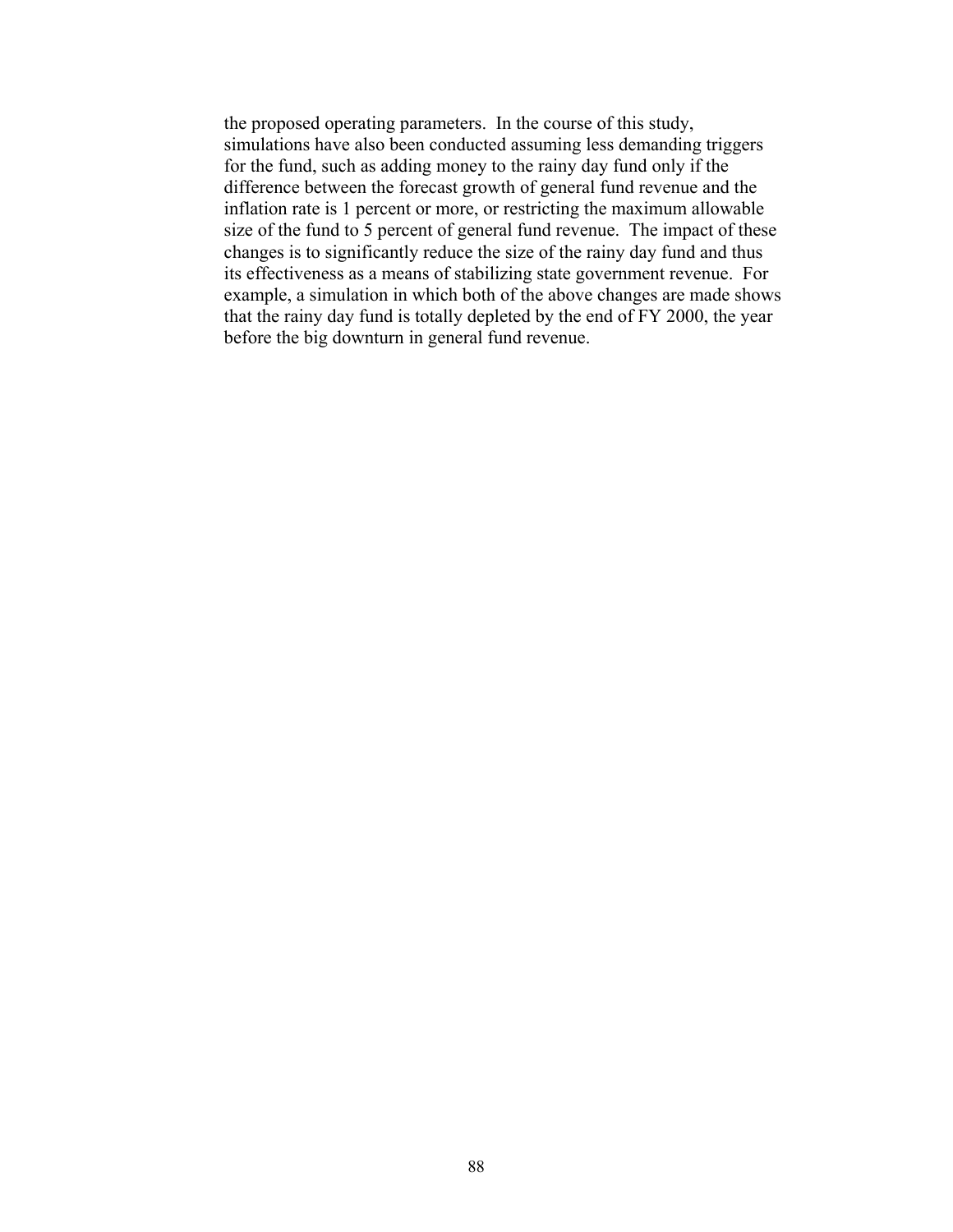the proposed operating parameters. In the course of this study, simulations have also been conducted assuming less demanding triggers for the fund, such as adding money to the rainy day fund only if the difference between the forecast growth of general fund revenue and the inflation rate is 1 percent or more, or restricting the maximum allowable size of the fund to 5 percent of general fund revenue. The impact of these changes is to significantly reduce the size of the rainy day fund and thus its effectiveness as a means of stabilizing state government revenue. For example, a simulation in which both of the above changes are made shows that the rainy day fund is totally depleted by the end of FY 2000, the year before the big downturn in general fund revenue.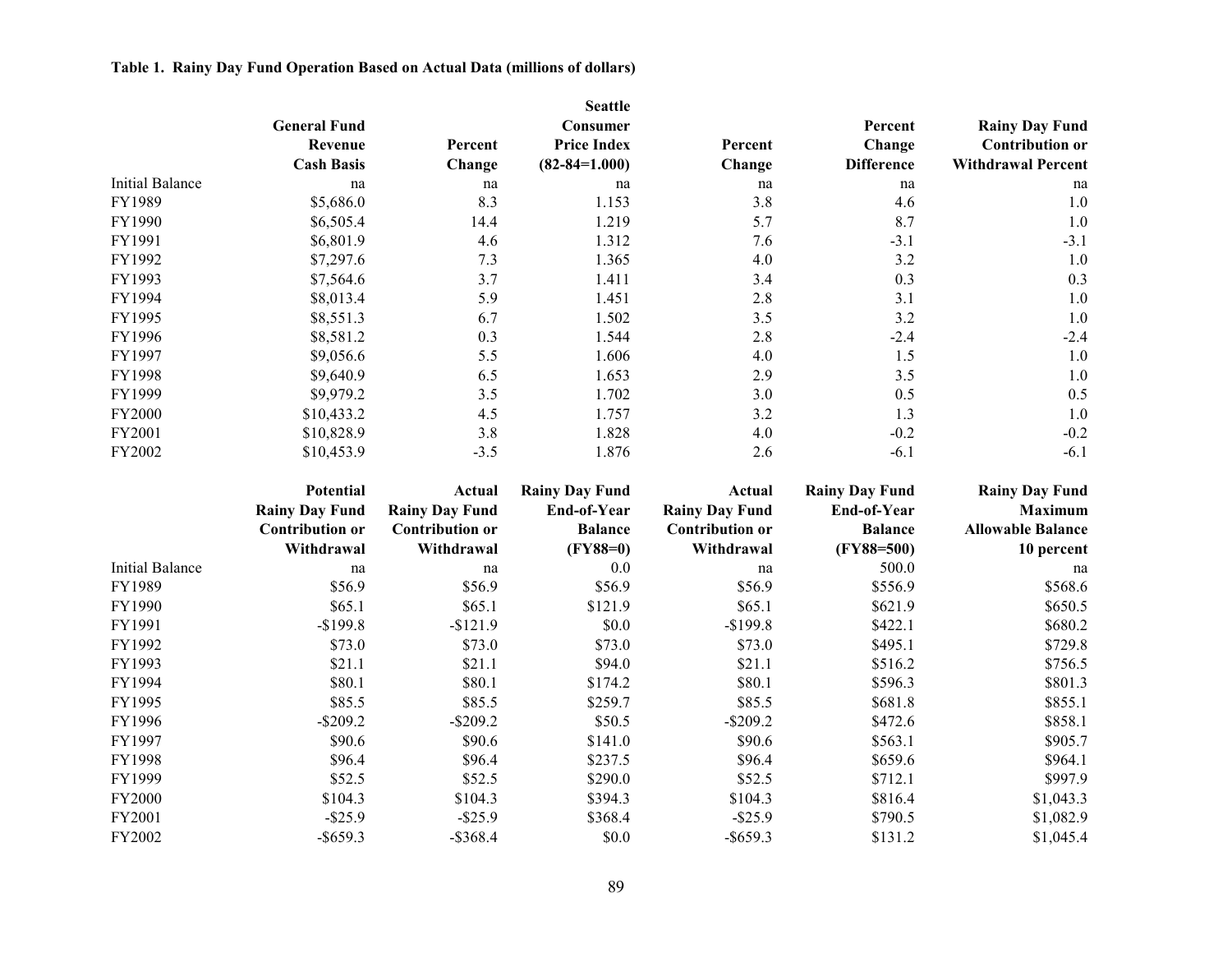#### **Table 1. Rainy Day Fund Operation Based on Actual Data (millions of dollars)**

|                 |                     |         | <b>Seattle</b>      |         |                   |                           |
|-----------------|---------------------|---------|---------------------|---------|-------------------|---------------------------|
|                 | <b>General Fund</b> |         | Consumer            |         | Percent           | <b>Rainy Day Fund</b>     |
|                 | Revenue             | Percent | <b>Price Index</b>  | Percent | Change            | <b>Contribution or</b>    |
|                 | <b>Cash Basis</b>   | Change  | $(82 - 84 = 1.000)$ | Change  | <b>Difference</b> | <b>Withdrawal Percent</b> |
| Initial Balance | na                  | na      | na                  | na      | na                | na                        |
| FY1989          | \$5,686.0           | 8.3     | 1.153               | 3.8     | 4.6               | 1.0                       |
| FY1990          | \$6,505.4           | 14.4    | 1.219               | 5.7     | 8.7               | 1.0                       |
| FY1991          | \$6,801.9           | 4.6     | 1.312               | 7.6     | $-3.1$            | $-3.1$                    |
| FY1992          | \$7,297.6           | 7.3     | 1.365               | 4.0     | 3.2               | 1.0                       |
| FY1993          | \$7,564.6           | 3.7     | 1.411               | 3.4     | 0.3               | 0.3                       |
| FY1994          | \$8,013.4           | 5.9     | 1.451               | 2.8     | 3.1               | 1.0                       |
| FY1995          | \$8,551.3           | 6.7     | 1.502               | 3.5     | 3.2               | 1.0                       |
| FY1996          | \$8,581.2           | 0.3     | 1.544               | 2.8     | $-2.4$            | $-2.4$                    |
| FY1997          | \$9,056.6           | 5.5     | 1.606               | 4.0     | 1.5               | 1.0                       |
| FY1998          | \$9,640.9           | 6.5     | 1.653               | 2.9     | 3.5               | 1.0                       |
| FY1999          | \$9,979.2           | 3.5     | 1.702               | 3.0     | 0.5               | 0.5                       |
| <b>FY2000</b>   | \$10,433.2          | 4.5     | 1.757               | 3.2     | 1.3               | 1.0                       |
| <b>FY2001</b>   | \$10,828.9          | 3.8     | 1.828               | 4.0     | $-0.2$            | $-0.2$                    |
| FY2002          | \$10,453.9          | $-3.5$  | 1.876               | 2.6     | $-6.1$            | $-6.1$                    |

|                 | <b>Potential</b>       | Actual                 | <b>Rainy Day Fund</b> | Actual                 | <b>Rainy Day Fund</b> | <b>Rainy Day Fund</b>    |
|-----------------|------------------------|------------------------|-----------------------|------------------------|-----------------------|--------------------------|
|                 | <b>Rainy Day Fund</b>  | <b>Rainy Day Fund</b>  | End-of-Year           | <b>Rainy Day Fund</b>  | End-of-Year           | <b>Maximum</b>           |
|                 | <b>Contribution or</b> | <b>Contribution or</b> | <b>Balance</b>        | <b>Contribution or</b> | <b>Balance</b>        | <b>Allowable Balance</b> |
|                 | Withdrawal             | Withdrawal             | $(FY88=0)$            | Withdrawal             | $(FY88=500)$          | 10 percent               |
| Initial Balance | na                     | na                     | 0.0                   | na                     | 500.0                 | na                       |
| FY1989          | \$56.9                 | \$56.9                 | \$56.9                | \$56.9                 | \$556.9               | \$568.6                  |
| FY1990          | \$65.1                 | \$65.1                 | \$121.9               | \$65.1                 | \$621.9               | \$650.5                  |
| FY1991          | $-$ \$199.8            | $-$121.9$              | \$0.0                 | $-$ \$199.8            | \$422.1               | \$680.2                  |
| FY1992          | \$73.0                 | \$73.0                 | \$73.0                | \$73.0                 | \$495.1               | \$729.8                  |
| FY1993          | \$21.1                 | \$21.1                 | \$94.0                | \$21.1                 | \$516.2               | \$756.5                  |
| FY1994          | \$80.1                 | \$80.1                 | \$174.2               | \$80.1                 | \$596.3               | \$801.3                  |
| FY1995          | \$85.5                 | \$85.5                 | \$259.7               | \$85.5                 | \$681.8               | \$855.1                  |
| FY1996          | $-$ \$209.2            | $-$ \$209.2            | \$50.5                | $-$ \$209.2            | \$472.6               | \$858.1                  |
| FY1997          | \$90.6                 | \$90.6                 | \$141.0               | \$90.6                 | \$563.1               | \$905.7                  |
| FY1998          | \$96.4                 | \$96.4                 | \$237.5               | \$96.4                 | \$659.6               | \$964.1                  |
| FY1999          | \$52.5                 | \$52.5                 | \$290.0               | \$52.5                 | \$712.1               | \$997.9                  |
| <b>FY2000</b>   | \$104.3                | \$104.3                | \$394.3               | \$104.3                | \$816.4               | \$1,043.3                |
| FY2001          | $-$ \$25.9             | $-$ \$25.9             | \$368.4               | $-$ \$25.9             | \$790.5               | \$1,082.9                |
| FY2002          | $-$ \$659.3            | $-$ \$368.4            | \$0.0                 | $-$ \$659.3            | \$131.2               | \$1,045.4                |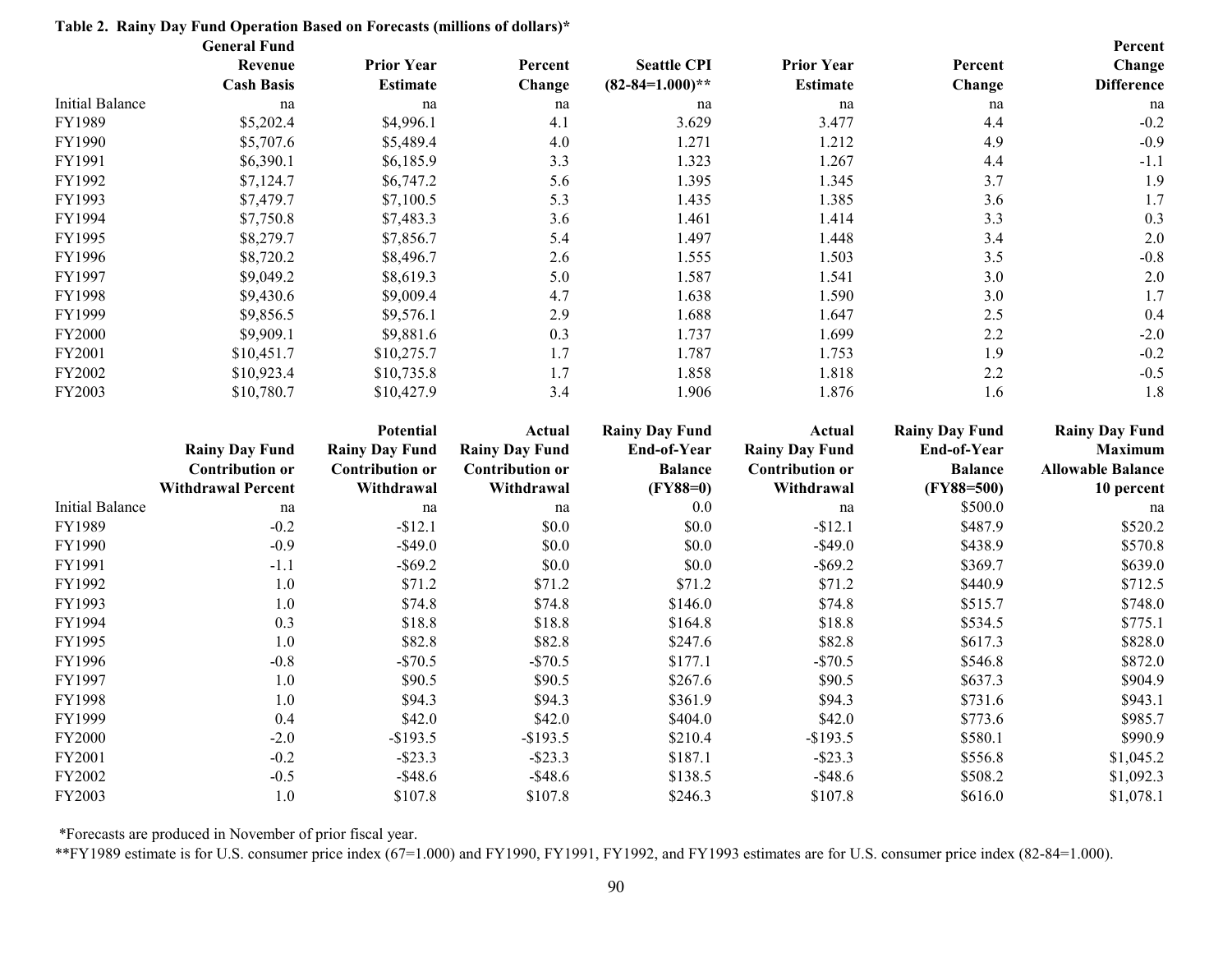|                 | <b>General Fund</b> |                   |         |                    |                   |         | Percent           |
|-----------------|---------------------|-------------------|---------|--------------------|-------------------|---------|-------------------|
|                 | Revenue             | <b>Prior Year</b> | Percent | <b>Seattle CPI</b> | <b>Prior Year</b> | Percent | Change            |
|                 | <b>Cash Basis</b>   | <b>Estimate</b>   | Change  | $(82-84=1.000)**$  | <b>Estimate</b>   | Change  | <b>Difference</b> |
| Initial Balance | na                  | na                | na      | na                 | na                | na      | na                |
| FY1989          | \$5,202.4           | \$4,996.1         | 4.1     | 3.629              | 3.477             | 4.4     | $-0.2$            |
| FY1990          | \$5,707.6           | \$5,489.4         | 4.0     | 1.271              | 1.212             | 4.9     | $-0.9$            |
| FY1991          | \$6,390.1           | \$6,185.9         | 3.3     | 1.323              | 1.267             | 4.4     | $-1.1$            |
| FY1992          | \$7,124.7           | \$6,747.2         | 5.6     | 1.395              | 1.345             | 3.7     | 1.9               |
| FY1993          | \$7,479.7           | \$7,100.5         | 5.3     | 1.435              | 1.385             | 3.6     | 1.7               |
| FY1994          | \$7,750.8           | \$7,483.3         | 3.6     | 1.461              | 1.414             | 3.3     | 0.3               |
| FY1995          | \$8,279.7           | \$7,856.7         | 5.4     | 1.497              | 1.448             | 3.4     | 2.0               |
| FY1996          | \$8,720.2           | \$8,496.7         | 2.6     | 1.555              | 1.503             | 3.5     | $-0.8$            |
| FY1997          | \$9,049.2           | \$8,619.3         | 5.0     | 1.587              | 1.541             | 3.0     | 2.0               |
| FY1998          | \$9,430.6           | \$9,009.4         | 4.7     | 1.638              | .590              | 3.0     | 1.7               |
| FY1999          | \$9,856.5           | \$9,576.1         | 2.9     | 1.688              | 1.647             | 2.5     | 0.4               |
| <b>FY2000</b>   | \$9,909.1           | \$9,881.6         | 0.3     | 1.737              | .699              | 2.2     | $-2.0$            |
| FY2001          | \$10,451.7          | \$10,275.7        | 1.7     | 1.787              | 1.753             | 1.9     | $-0.2$            |
| FY2002          | \$10,923.4          | \$10,735.8        | 1.7     | 1.858              | 1.818             | 2.2     | $-0.5$            |
| FY2003          | \$10,780.7          | \$10,427.9        | 3.4     | 1.906              | 1.876             | 1.6     | 1.8               |

#### **Table 2. Rainy Day Fund Operation Based on Forecasts (millions of dollars)\***

|                 | <b>Rainy Day Fund</b><br><b>Contribution or</b><br><b>Withdrawal Percent</b> | <b>Potential</b><br><b>Rainy Day Fund</b><br><b>Contribution or</b><br>Withdrawal | Actual<br><b>Rainy Day Fund</b><br><b>Contribution or</b><br>Withdrawal | <b>Rainy Day Fund</b><br>End-of-Year<br><b>Balance</b><br>$(FY88=0)$ | Actual<br><b>Rainy Day Fund</b><br><b>Contribution or</b><br>Withdrawal | <b>Rainy Day Fund</b><br>End-of-Year<br><b>Balance</b><br>$(FY88=500)$ | <b>Rainy Day Fund</b><br><b>Maximum</b><br><b>Allowable Balance</b><br>10 percent |
|-----------------|------------------------------------------------------------------------------|-----------------------------------------------------------------------------------|-------------------------------------------------------------------------|----------------------------------------------------------------------|-------------------------------------------------------------------------|------------------------------------------------------------------------|-----------------------------------------------------------------------------------|
| Initial Balance | na                                                                           | na                                                                                | na                                                                      | 0.0                                                                  | na                                                                      | \$500.0                                                                | na                                                                                |
| FY1989          | $-0.2$                                                                       | $-$12.1$                                                                          | \$0.0                                                                   | \$0.0                                                                | $-$12.1$                                                                | \$487.9                                                                | \$520.2                                                                           |
| FY1990          | $-0.9$                                                                       | $-$ \$49.0                                                                        | \$0.0                                                                   | \$0.0                                                                | $-$ \$49.0                                                              | \$438.9                                                                | \$570.8                                                                           |
| FY1991          | $-1.1$                                                                       | $-$ \$69.2                                                                        | \$0.0                                                                   | \$0.0                                                                | $-$ \$69.2                                                              | \$369.7                                                                | \$639.0                                                                           |
| FY1992          | 1.0                                                                          | \$71.2                                                                            | \$71.2                                                                  | \$71.2                                                               | \$71.2                                                                  | \$440.9                                                                | \$712.5                                                                           |
| FY1993          | 1.0                                                                          | \$74.8                                                                            | \$74.8                                                                  | \$146.0                                                              | \$74.8                                                                  | \$515.7                                                                | \$748.0                                                                           |
| FY1994          | 0.3                                                                          | \$18.8                                                                            | \$18.8                                                                  | \$164.8                                                              | \$18.8                                                                  | \$534.5                                                                | \$775.1                                                                           |
| FY1995          | 1.0                                                                          | \$82.8                                                                            | \$82.8                                                                  | \$247.6                                                              | \$82.8                                                                  | \$617.3                                                                | \$828.0                                                                           |
| FY1996          | $-0.8$                                                                       | $-$70.5$                                                                          | $-$70.5$                                                                | \$177.1                                                              | $-$70.5$                                                                | \$546.8                                                                | \$872.0                                                                           |
| FY1997          | 1.0                                                                          | \$90.5                                                                            | \$90.5                                                                  | \$267.6                                                              | \$90.5                                                                  | \$637.3                                                                | \$904.9                                                                           |
| <b>FY1998</b>   | 1.0                                                                          | \$94.3                                                                            | \$94.3                                                                  | \$361.9                                                              | \$94.3                                                                  | \$731.6                                                                | \$943.1                                                                           |
| FY1999          | 0.4                                                                          | \$42.0                                                                            | \$42.0                                                                  | \$404.0                                                              | \$42.0                                                                  | \$773.6                                                                | \$985.7                                                                           |
| <b>FY2000</b>   | $-2.0$                                                                       | $-$ \$193.5                                                                       | $-$ \$193.5                                                             | \$210.4                                                              | $-$ \$193.5                                                             | \$580.1                                                                | \$990.9                                                                           |
| FY2001          | $-0.2$                                                                       | $-$ \$23.3                                                                        | $-$ \$23.3                                                              | \$187.1                                                              | $-$ \$23.3                                                              | \$556.8                                                                | \$1,045.2                                                                         |
| FY2002          | $-0.5$                                                                       | $-$ \$48.6                                                                        | $-$ \$48.6                                                              | \$138.5                                                              | $-$ \$48.6                                                              | \$508.2                                                                | \$1,092.3                                                                         |
| FY2003          | 1.0                                                                          | \$107.8                                                                           | \$107.8                                                                 | \$246.3                                                              | \$107.8                                                                 | \$616.0                                                                | \$1,078.1                                                                         |

\*Forecasts are produced in November of prior fiscal year.

\*\*FY1989 estimate is for U.S. consumer price index (67=1.000) and FY1990, FY1991, FY1992, and FY1993 estimates are for U.S. consumer price index (82-84=1.000).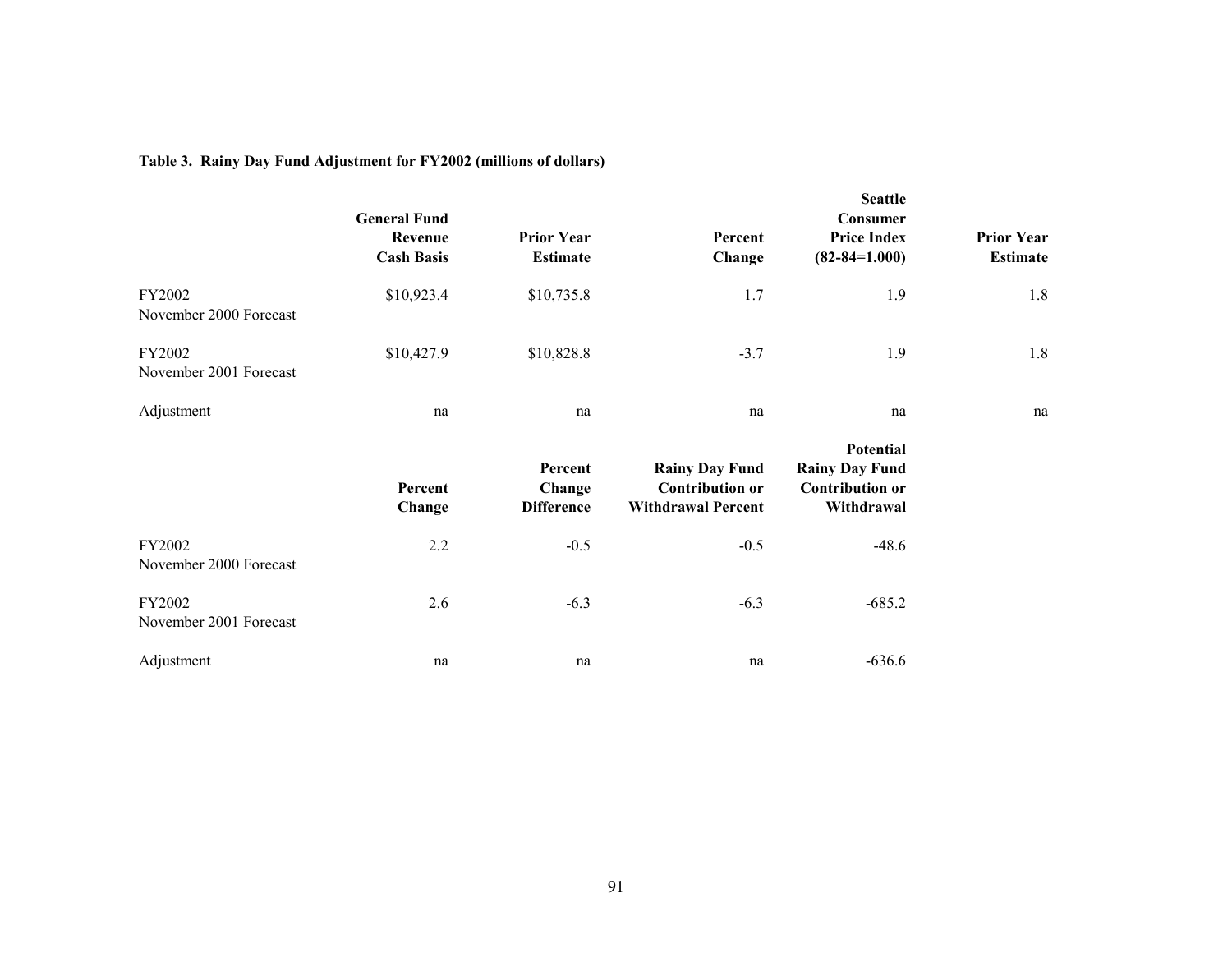#### **Table 3. Rainy Day Fund Adjustment for FY2002 (millions of dollars)**

November 2000 Forecast

November 2001 Forecast

|                                  | <b>General Fund</b><br>Revenue<br><b>Cash Basis</b> | <b>Prior Year</b><br><b>Estimate</b>   | Percent<br>Change                                                            | <b>Seattle</b><br>Consumer<br><b>Price Index</b><br>$(82-84=1.000)$               | <b>Prior Year</b><br><b>Estimate</b> |
|----------------------------------|-----------------------------------------------------|----------------------------------------|------------------------------------------------------------------------------|-----------------------------------------------------------------------------------|--------------------------------------|
| FY2002<br>November 2000 Forecast | \$10,923.4                                          | \$10,735.8                             | 1.7                                                                          | 1.9                                                                               | 1.8                                  |
| FY2002<br>November 2001 Forecast | \$10,427.9                                          | \$10,828.8                             | $-3.7$                                                                       | 1.9                                                                               | 1.8                                  |
| Adjustment                       | na                                                  | na                                     | na                                                                           | na                                                                                | na                                   |
|                                  | Percent<br>Change                                   | Percent<br>Change<br><b>Difference</b> | <b>Rainy Day Fund</b><br><b>Contribution or</b><br><b>Withdrawal Percent</b> | <b>Potential</b><br><b>Rainy Day Fund</b><br><b>Contribution or</b><br>Withdrawal |                                      |
| FY2002                           | 2.2                                                 | $-0.5$                                 | $-0.5$                                                                       | $-48.6$                                                                           |                                      |

FY2002 2.6 -6.3 -6.3 -6.3 -6.3 -6.3

Adjustment **1888** -636.6 **na** na na na na na na na 1636.6

 $-685.2$